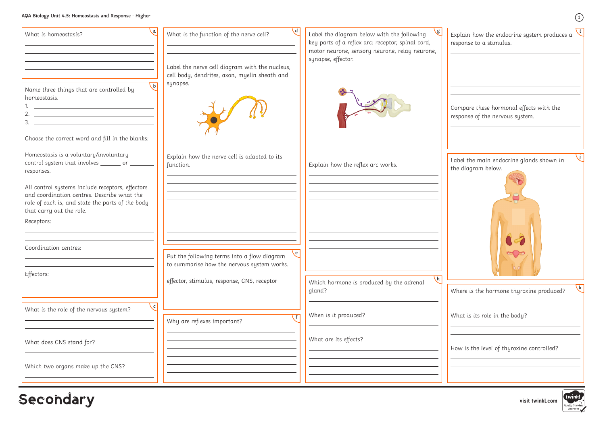## **AQA Biology Unit 4.5: Homeostasis and Response - Higher**

| What is homeostasis?                                                                                                                                                                               | $\mathcal{A}$<br>What is the function of the nerve cell?                                         | Label the diagram below with the following<br>key parts of a reflex arc: receptor, spinal cord, | Explain how the endocrine system produces a<br>response to a stimulus.     |
|----------------------------------------------------------------------------------------------------------------------------------------------------------------------------------------------------|--------------------------------------------------------------------------------------------------|-------------------------------------------------------------------------------------------------|----------------------------------------------------------------------------|
|                                                                                                                                                                                                    | Label the nerve cell diagram with the nucleus,<br>cell body, dendrites, axon, myelin sheath and  | motor neurone, sensory neurone, relay neurone,<br>synapse, effector.                            |                                                                            |
| $\mathsf{b}$<br>Name three things that are controlled by<br>homeostasis.<br><u> 1989 - Johann Barn, mars ann an t-Amhainn an t-Amhainn an t-Amhainn an t-Amhainn an t-Amhainn an t-Amhainn an </u> | synapse.                                                                                         |                                                                                                 | Compare these hormonal effects with the<br>response of the nervous system. |
| Choose the correct word and fill in the blanks:                                                                                                                                                    |                                                                                                  |                                                                                                 |                                                                            |
| Homeostasis is a voluntary/involuntary<br>control system that involves ________ or ________<br>responses.                                                                                          | Explain how the nerve cell is adapted to its<br>function.                                        | Explain how the reflex arc works.                                                               | Label the main endocrine glands shown in<br>the diagram below.             |
| All control systems include receptors, effectors<br>and coordination centres. Describe what the<br>role of each is, and state the parts of the body<br>that carry out the role.                    |                                                                                                  |                                                                                                 |                                                                            |
| Receptors:                                                                                                                                                                                         |                                                                                                  |                                                                                                 |                                                                            |
| Coordination centres:                                                                                                                                                                              | ∖e.<br>Put the following terms into a flow diagram<br>to summarise how the nervous system works. |                                                                                                 | $\alpha$                                                                   |
| Effectors:                                                                                                                                                                                         | effector, stimulus, response, CNS, receptor                                                      | $\left\langle \cdot\right\vert$<br>Which hormone is produced by the adrenal<br>gland?           | 00<br>Where is the hormone thyroxine produced?                             |
| $\vert c \vert$<br>What is the role of the nervous system?                                                                                                                                         | $\cdot$ f                                                                                        | When is it produced?                                                                            | What is its role in the body?                                              |
|                                                                                                                                                                                                    | Why are reflexes important?                                                                      | What are its effects?                                                                           |                                                                            |
| What does CNS stand for?                                                                                                                                                                           |                                                                                                  |                                                                                                 | How is the level of thyroxine controlled?                                  |
| Which two organs make up the CNS?                                                                                                                                                                  |                                                                                                  |                                                                                                 |                                                                            |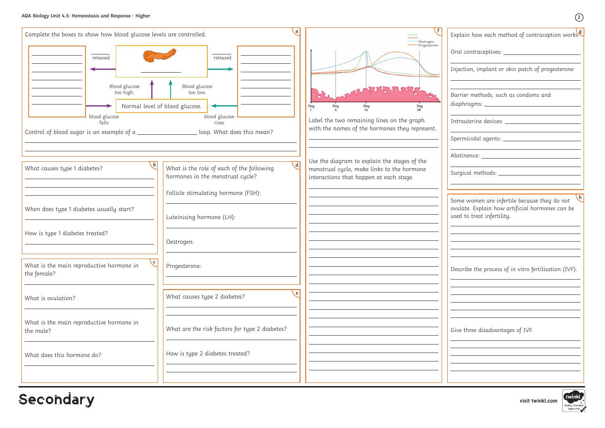**visit twinkl.com**



**Secondary** 

| Explain how each method of contraception works                                                                                     |
|------------------------------------------------------------------------------------------------------------------------------------|
| Oral contraceptives: ____                                                                                                          |
| Injection, implant or skin patch of progesterone:                                                                                  |
| Barrier methods, such as condoms and<br>diaphragms: ________________________                                                       |
| Intrauterine devices: _______________________                                                                                      |
| Spermicidal agents: ________________________                                                                                       |
|                                                                                                                                    |
| Surgical methods: __________________________                                                                                       |
| h<br>Some women are infertile because they do not<br>ovulate. Explain how artificial hormones can be<br>used to treat infertility. |
|                                                                                                                                    |
| Describe the process of in vitro fertilisation (IVF).                                                                              |
|                                                                                                                                    |
|                                                                                                                                    |
| Give three disadvantages of IVF.                                                                                                   |
|                                                                                                                                    |
|                                                                                                                                    |
|                                                                                                                                    |



 $\Omega$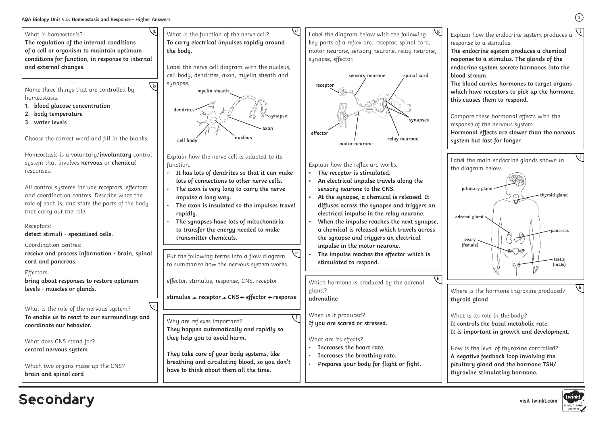**visit twinkl.com**



## **Secondary**